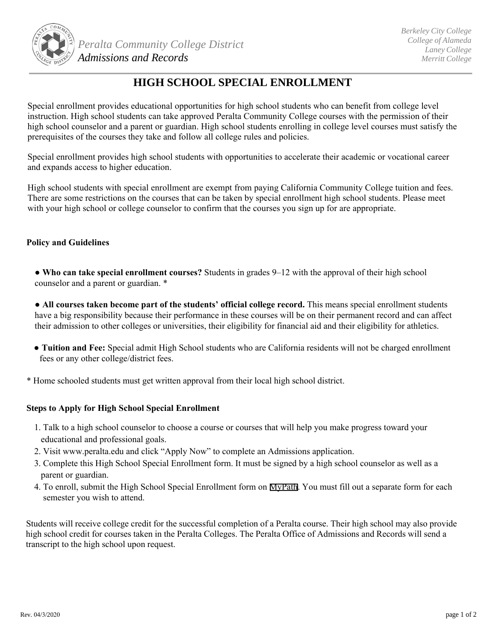

## **HIGH SCHOOL SPECIAL ENROLLMENT**

Special enrollment provides educational opportunities for high school students who can benefit from college level instruction. High school students can take approved Peralta Community College courses with the permission of their high school counselor and a parent or guardian. High school students enrolling in college level courses must satisfy the prerequisites of the courses they take and follow all college rules and policies.

Special enrollment provides high school students with opportunities to accelerate their academic or vocational career and expands access to higher education.

High school students with special enrollment are exempt from paying California Community College tuition and fees. There are some restrictions on the courses that can be taken by special enrollment high school students. Please meet with your high school or college counselor to confirm that the courses you sign up for are appropriate.

## **Policy and Guidelines**

**● Who can take special enrollment courses?** Students in grades 9–12 with the approval of their high school counselor and a parent or guardian. \*

• All courses taken become part of the students' official college record. This means special enrollment students have a big responsibility because their performance in these courses will be on their permanent record and can affect their admission to other colleges or universities, their eligibility for financial aid and their eligibility for athletics.

**● Tuition and Fee:** Special admit High School students who are California residents will not be charged enrollment fees or any other college/district fees.

\* Home schooled students must get written approval from their local high school district.

## **Steps to Apply for High School Special Enrollment**

- 1. Talk to a high school counselor to choose a course or courses that will help you make progress toward your educational and professional goals.
- 2. Visit www.peralta.edu and click "Apply Now" to complete an Admissions application.
- 3. Complete this High School Special Enrollment form. It must be signed by a high school counselor as well as a parent or guardian.
- 4. To enroll, submit the High School Special Enrollment form on [MyPath](https://web.peralta.edu/admissions/submit-hs-form/). You must fill out a separate form for each semester you wish to attend.

Students will receive college credit for the successful completion of a Peralta course. Their high school may also provide high school credit for courses taken in the Peralta Colleges. The Peralta Office of Admissions and Records will send a transcript to the high school upon request.